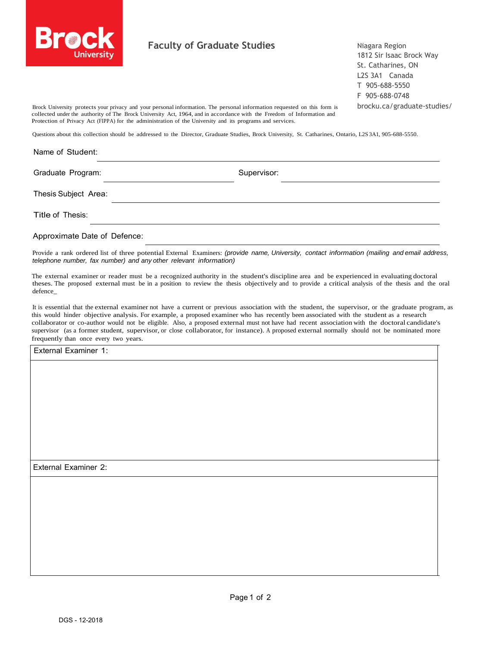

## **Faculty of Graduate Studies**

Niagara Region 1812 Sir Isaac Brock Way St. Catharines, ON L2S 3A1 Canada T 905-688-5550 F 905-688-0748 brocku.ca/graduate-studies/

Brock University protects your privacy and your personal information. The personal information requested on this form is collected under the authority of The Brock University Act, 1964, and in accordance with the Freedom of Information and Protection of Privacy Act (FIPPA) for the administration of the University and its programs and services.

Questions about this collection should be addressed to the Director, Graduate Studies, Brock University, St. Catharines, Ontario, L2S 3A1, 905-688-5550.

## Name of Student: Graduate Program: Supervisor: Supervisor:

Thesis Subject Area:

Title of Thesis:

Approximate Date of Defence:

Provide a rank ordered list of three potential External Examiners: *(provide name, University, contact information (mailing and email address, telephone number, fax number) and any other relevant information)*

The external examiner or reader must be a recognized authority in the student's discipline area and be experienced in evaluating doctoral theses. The proposed external must be in a position to review the thesis objectively and to provide a critical analysis of the thesis and the oral defence\_

It is essential that the external examiner not have a current or previous association with the student, the supervisor, or the graduate program, as this would hinder objective analysis. For example, a proposed examiner who has recently been associated with the student as a research collaborator or co-author would not be eligible. Also, a proposed external must not have had recent association with the doctoral candidate's supervisor (as a former student, supervisor, or close collaborator, for instance). A proposed external normally should not be nominated more frequently than once every two years.

External Examiner 1:

External Examiner 2: